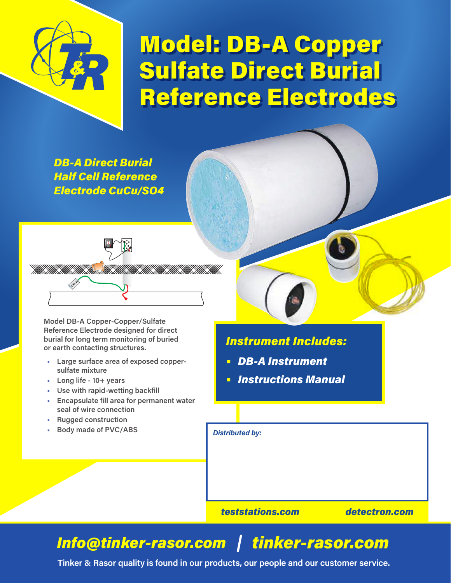

## Model: DB-A Copper Sulfate Direct Burial Reference Electrodes

*DB-A Direct Burial Half Cell Reference Electrode CuCu/SO4*



**Model DB-A Copper-Copper/Sulfate Reference Electrode designed for direct burial for long term monitoring of buried or earth contacting structures.**

- **• Large surface area of exposed coppersulfate mixture**
- **• Long life 10+ years**
- **• Use with rapid-wetting backfill**
- **• Encapsulate fill area for permanent water seal of wire connection**
- **• Rugged construction**
- **• Body made of PVC/ABS** *Distributed by:*

## *Instrument Includes:*

- **•** *DB-A Instrument*
- **•** *Instructions Manual*

*teststations.com detectron.com*

## *Info@tinker-rasor.com tinker-rasor.com*

**Tinker & Rasor quality is found in our products, our people and our customer service.**